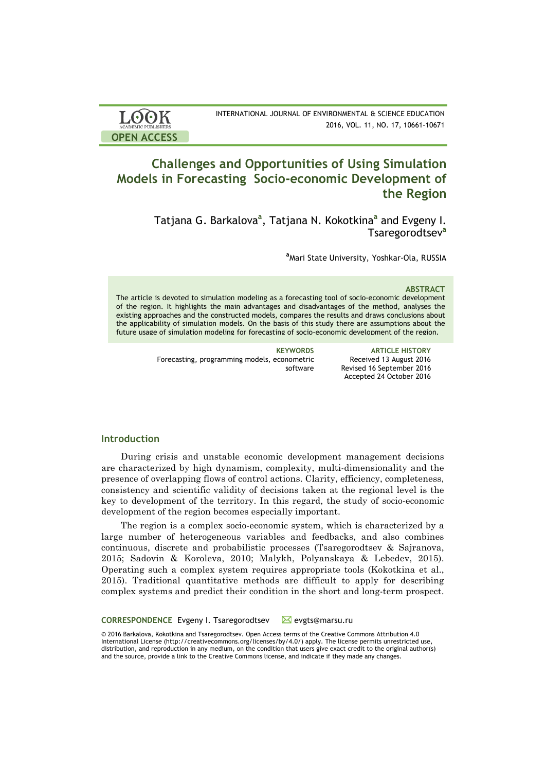| <b>LOOK</b>                | INTERNATIONAL JOURNAL OF ENVIRONMENTAL & SCIENCE EDUCATION |
|----------------------------|------------------------------------------------------------|
| <b>ACADEMIC PUBLISHERS</b> | 2016, VOL. 11, NO. 17, 10661-10671                         |
| <b>OPEN ACCESS</b>         |                                                            |

# **Challenges and Opportunities of Using Simulation Models in Forecasting Socio-economic Development of the Region**

Tatjana G. Barkalova<sup>a</sup>, Tatjana N. Kokotkina<sup>a</sup> and Evgeny I. Tsaregorodtsev**<sup>a</sup>**

**a** Mari State University, Yoshkar-Ola, RUSSIA

### **ABSTRACT**

The article is devoted to simulation modeling as a forecasting tool of socio-economic development of the region. It highlights the main advantages and disadvantages of the method, analyses the existing approaches and the constructed models, compares the results and draws conclusions about the applicability of simulation models. On the basis of this study there are assumptions about the future usage of simulation modeling for forecasting of socio-economic development of the region.

> **KEYWORDS ARTICLE HISTORY** Received 13 August 2016 Revised 16 September 2016 Accepted 24 October 2016

Forecasting, programming models, econometric software

# **Introduction**

During crisis and unstable economic development management decisions are characterized by high dynamism, complexity, multi-dimensionality and the presence of overlapping flows of control actions. Clarity, efficiency, completeness, consistency and scientific validity of decisions taken at the regional level is the key to development of the territory. In this regard, the study of socio-economic development of the region becomes especially important.

The region is a complex socio-economic system, which is characterized by a large number of heterogeneous variables and feedbacks, and also combines continuous, discrete and probabilistic processes (Tsaregorodtsev & Sajranova, 2015; Sadovin & Koroleva, 2010; Malykh, Polyanskaya & Lebedev, 2015). Operating such a complex system requires appropriate tools (Kokotkina et al., 2015). Traditional quantitative methods are difficult to apply for describing complex systems and predict their condition in the short and long-term prospect.

CORRESPONDENCE Evgeny I. Tsaregorodtsev Mevgts@marsu.ru

© 2016 Barkalova, Kokotkina and Tsaregorodtsev. Open Access terms of the Creative Commons Attribution 4.0 International License (http://creativecommons.org/licenses/by/4.0/) apply. The license permits unrestricted use, distribution, and reproduction in any medium, on the condition that users give exact credit to the original author(s) and the source, provide a link to the Creative Commons license, and indicate if they made any changes.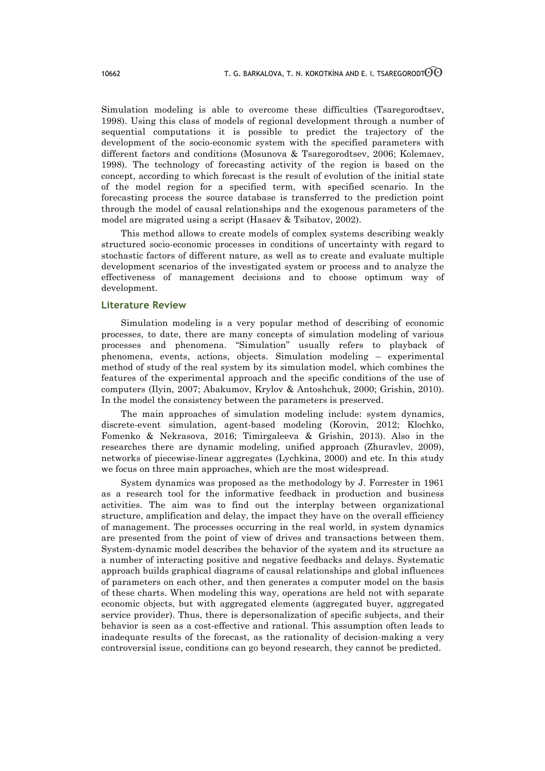Simulation modeling is able to overcome these difficulties (Tsaregorodtsev, 1998). Using this class of models of regional development through a number of sequential computations it is possible to predict the trajectory of the development of the socio-economic system with the specified parameters with different factors and conditions (Mosunova & Tsaregorodtsev, 2006; Kolemaev, 1998). The technology of forecasting activity of the region is based on the concept, according to which forecast is the result of evolution of the initial state of the model region for a specified term, with specified scenario. In the forecasting process the source database is transferred to the prediction point through the model of causal relationships and the exogenous parameters of the model are migrated using a script (Hasaev & Tsibatov, 2002).

This method allows to create models of complex systems describing weakly structured socio-economic processes in conditions of uncertainty with regard to stochastic factors of different nature, as well as to create and evaluate multiple development scenarios of the investigated system or process and to analyze the effectiveness of management decisions and to choose optimum way of development.

# **Literature Review**

Simulation modeling is a very popular method of describing of economic processes, to date, there are many concepts of simulation modeling of various processes and phenomena. "Simulation" usually refers to playback of phenomena, events, actions, objects. Simulation modeling – experimental method of study of the real system by its simulation model, which combines the features of the experimental approach and the specific conditions of the use of computers (Ilyin, 2007; Abakumov, Krylov & Antoshchuk, 2000; Grishin, 2010). In the model the consistency between the parameters is preserved.

The main approaches of simulation modeling include: system dynamics, discrete-event simulation, agent-based modeling (Korovin, 2012; Klochko, Fomenko & Nekrasova, 2016; Timirgaleeva & Grishin, 2013). Also in the researches there are dynamic modeling, unified approach (Zhuravlev, 2009), networks of piecewise-linear aggregates (Lychkina, 2000) and etc. In this study we focus on three main approaches, which are the most widespread.

System dynamics was proposed as the methodology by J. Forrester in 1961 as a research tool for the informative feedback in production and business activities. The aim was to find out the interplay between organizational structure, amplification and delay, the impact they have on the overall efficiency of management. The processes occurring in the real world, in system dynamics are presented from the point of view of drives and transactions between them. System-dynamic model describes the behavior of the system and its structure as a number of interacting positive and negative feedbacks and delays. Systematic approach builds graphical diagrams of causal relationships and global influences of parameters on each other, and then generates a computer model on the basis of these charts. When modeling this way, operations are held not with separate economic objects, but with aggregated elements (aggregated buyer, aggregated service provider). Thus, there is depersonalization of specific subjects, and their behavior is seen as a cost-effective and rational. This assumption often leads to inadequate results of the forecast, as the rationality of decision-making a very controversial issue, conditions can go beyond research, they cannot be predicted.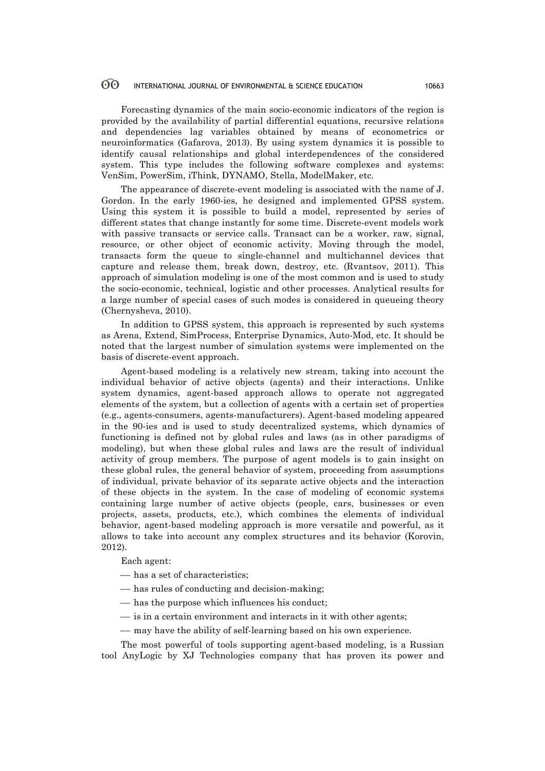#### 60 INTERNATIONAL JOURNAL OF ENVIRONMENTAL & SCIENCE EDUCATION 10663

Forecasting dynamics of the main socio-economic indicators of the region is provided by the availability of partial differential equations, recursive relations and dependencies lag variables obtained by means of econometrics or neuroinformatics (Gafarova, 2013). By using system dynamics it is possible to identify causal relationships and global interdependences of the considered system. This type includes the following software complexes and systems: VenSim, PowerSim, iThink, DYNAMO, Stella, ModelMaker, etc.

The appearance of discrete-event modeling is associated with the name of J. Gordon. In the early 1960-ies, he designed and implemented GPSS system. Using this system it is possible to build a model, represented by series of different states that change instantly for some time. Discrete-event models work with passive transacts or service calls. Transact can be a worker, raw, signal, resource, or other object of economic activity. Moving through the model, transacts form the queue to single-channel and multichannel devices that capture and release them, break down, destroy, etc. (Rvantsov, 2011). This approach of simulation modeling is one of the most common and is used to study the socio-economic, technical, logistic and other processes. Analytical results for a large number of special cases of such modes is considered in queueing theory (Chernysheva, 2010).

In addition to GPSS system, this approach is represented by such systems as Arena, Extend, SimProcess, Enterprise Dynamics, Auto-Mod, etc. It should be noted that the largest number of simulation systems were implemented on the basis of discrete-event approach.

Agent-based modeling is a relatively new stream, taking into account the individual behavior of active objects (agents) and their interactions. Unlike system dynamics, agent-based approach allows to operate not aggregated elements of the system, but a collection of agents with a certain set of properties (e.g., agents-consumers, agents-manufacturers). Agent-based modeling appeared in the 90-ies and is used to study decentralized systems, which dynamics of functioning is defined not by global rules and laws (as in other paradigms of modeling), but when these global rules and laws are the result of individual activity of group members. The purpose of agent models is to gain insight on these global rules, the general behavior of system, proceeding from assumptions of individual, private behavior of its separate active objects and the interaction of these objects in the system. In the case of modeling of economic systems containing large number of active objects (people, cars, businesses or even projects, assets, products, etc.), which combines the elements of individual behavior, agent-based modeling approach is more versatile and powerful, as it allows to take into account any complex structures and its behavior (Korovin, 2012).

Each agent:

— has a set of characteristics;

- $-$  has rules of conducting and decision-making;
- has the purpose which influences his conduct;
- $\frac{1}{1}$  is in a certain environment and interacts in it with other agents;
- may have the ability of self-learning based on his own experience.

The most powerful of tools supporting agent-based modeling, is a Russian tool AnyLogic by XJ Technologies company that has proven its power and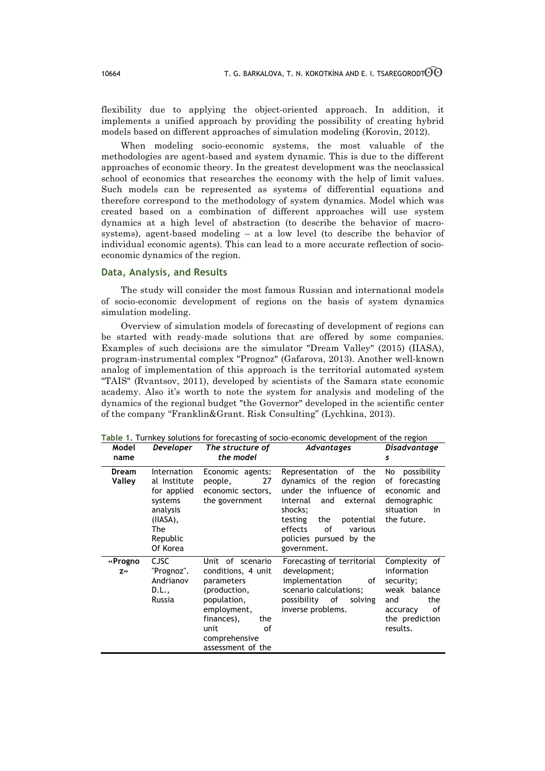flexibility due to applying the object-oriented approach. In addition, it implements a unified approach by providing the possibility of creating hybrid models based on different approaches of simulation modeling (Korovin, 2012).

When modeling socio-economic systems, the most valuable of the methodologies are agent-based and system dynamic. This is due to the different approaches of economic theory. In the greatest development was the neoclassical school of economics that researches the economy with the help of limit values. Such models can be represented as systems of differential equations and therefore correspond to the methodology of system dynamics. Model which was created based on a combination of different approaches will use system dynamics at a high level of abstraction (to describe the behavior of macrosystems), agent-based modeling – at a low level (to describe the behavior of individual economic agents). This can lead to a more accurate reflection of socioeconomic dynamics of the region.

# **Data, Analysis, and Results**

The study will consider the most famous Russian and international models of socio-economic development of regions on the basis of system dynamics simulation modeling.

Overview of simulation models of forecasting of development of regions can be started with ready-made solutions that are offered by some companies. Examples of such decisions are the simulator "Dream Valley" (2015) (IIASA), program-instrumental complex "Prognoz" (Gafarova, 2013). Another well-known analog of implementation of this approach is the territorial automated system "TAIS" (Rvantsov, 2011), developed by scientists of the Samara state economic academy. Also it's worth to note the system for analysis and modeling of the dynamics of the regional budget "the Governor" developed in the scientific center of the company "Franklin&Grant. Risk Consulting" (Lychkina, 2013).

| Model<br>name          | Developer                                                                                                    | The structure of<br>the model                                                                                                                                               | Advantages                                                                                                                                                                                                                  | Disadvantage<br>s                                                                                                       |
|------------------------|--------------------------------------------------------------------------------------------------------------|-----------------------------------------------------------------------------------------------------------------------------------------------------------------------------|-----------------------------------------------------------------------------------------------------------------------------------------------------------------------------------------------------------------------------|-------------------------------------------------------------------------------------------------------------------------|
| <b>Dream</b><br>Valley | Internation<br>al Institute<br>for applied<br>systems<br>analysis<br>(IIASA),<br>The<br>Republic<br>Of Korea | Economic agents:<br>27<br>people,<br>economic sectors,<br>the government                                                                                                    | Representation<br>of the<br>dynamics of the region<br>under the influence of<br>and<br>internal<br>external<br>shocks;<br>testing<br>the<br>potential<br>effects<br>οf<br>various<br>policies pursued by the<br>government. | No possibility<br>of forecasting<br>economic and<br>demographic<br>situation<br>in<br>the future.                       |
| «Progno<br>Z»          | <b>CJSC</b><br>"Prognoz".<br>Andrianov<br>D.L.,<br>Russia                                                    | Unit of scenario<br>conditions, 4 unit<br>parameters<br>(production,<br>population,<br>employment,<br>finances),<br>the<br>unit<br>of<br>comprehensive<br>assessment of the | Forecasting of territorial<br>development;<br>implementation<br>of<br>scenario calculations;<br>possibility of<br>solving<br>inverse problems.                                                                              | Complexity of<br>information<br>security;<br>weak balance<br>the<br>and<br>of<br>accuracy<br>the prediction<br>results. |

**Table 1.** Turnkey solutions for forecasting of socio-economic development of the region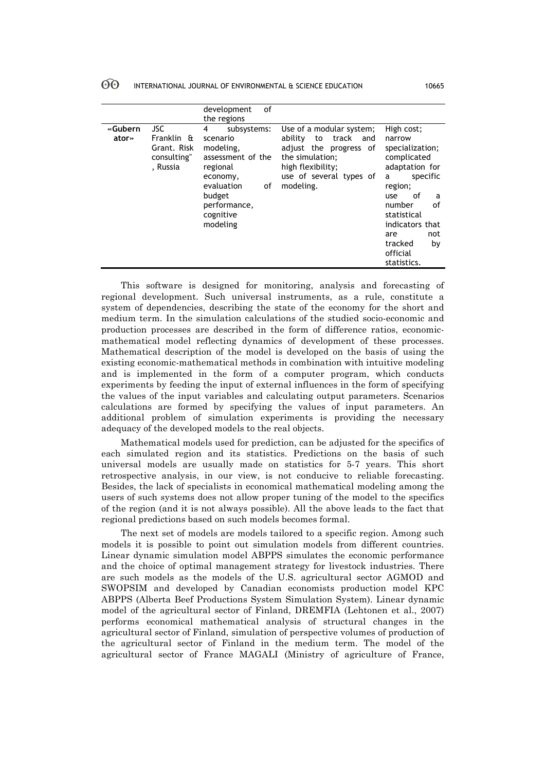#### 60 INTERNATIONAL JOURNAL OF ENVIRONMENTAL & SCIENCE EDUCATION 10665

|                  |                                                                    | οf<br>development<br>the regions                                                                                                                              |                                                                                                                                                                     |                                                                                                                                                                                                                                    |
|------------------|--------------------------------------------------------------------|---------------------------------------------------------------------------------------------------------------------------------------------------------------|---------------------------------------------------------------------------------------------------------------------------------------------------------------------|------------------------------------------------------------------------------------------------------------------------------------------------------------------------------------------------------------------------------------|
| «Gubern<br>ator» | <b>JSC</b><br>Franklin &<br>Grant. Risk<br>consulting"<br>, Russia | subsystems:<br>4<br>scenario<br>modeling,<br>assessment of the<br>regional<br>economy,<br>evaluation<br>οf<br>budget<br>performance,<br>cognitive<br>modeling | Use of a modular system;<br>ability<br>track<br>to<br>and<br>adjust the progress of<br>the simulation:<br>high flexibility;<br>use of several types of<br>modeling. | High cost;<br>narrow<br>specialization;<br>complicated<br>adaptation for<br>specific<br>a<br>region;<br>of<br>use<br>a<br>number<br>οf<br>statistical<br>indicators that<br>not<br>are<br>tracked<br>by<br>official<br>statistics. |

This software is designed for monitoring, analysis and forecasting of regional development. Such universal instruments, as a rule, constitute a system of dependencies, describing the state of the economy for the short and medium term. In the simulation calculations of the studied socio-economic and production processes are described in the form of difference ratios, economicmathematical model reflecting dynamics of development of these processes. Mathematical description of the model is developed on the basis of using the existing economic-mathematical methods in combination with intuitive modeling and is implemented in the form of a computer program, which conducts experiments by feeding the input of external influences in the form of specifying the values of the input variables and calculating output parameters. Scenarios calculations are formed by specifying the values of input parameters. An additional problem of simulation experiments is providing the necessary adequacy of the developed models to the real objects.

Mathematical models used for prediction, can be adjusted for the specifics of each simulated region and its statistics. Predictions on the basis of such universal models are usually made on statistics for 5-7 years. This short retrospective analysis, in our view, is not conducive to reliable forecasting. Besides, the lack of specialists in economical mathematical modeling among the users of such systems does not allow proper tuning of the model to the specifics of the region (and it is not always possible). All the above leads to the fact that regional predictions based on such models becomes formal.

The next set of models are models tailored to a specific region. Among such models it is possible to point out simulation models from different countries. Linear dynamic simulation model ABPPS simulates the economic performance and the choice of optimal management strategy for livestock industries. There are such models as the models of the U.S. agricultural sector AGMOD and SWOPSIM and developed by Canadian economists production model KPC ABPPS (Alberta Beef Productions System Simulation System). Linear dynamic model of the agricultural sector of Finland, DREMFIA (Lehtonen et al., 2007) performs economical mathematical analysis of structural changes in the agricultural sector of Finland, simulation of perspective volumes of production of the agricultural sector of Finland in the medium term. The model of the agricultural sector of France MAGALI (Ministry of agriculture of France,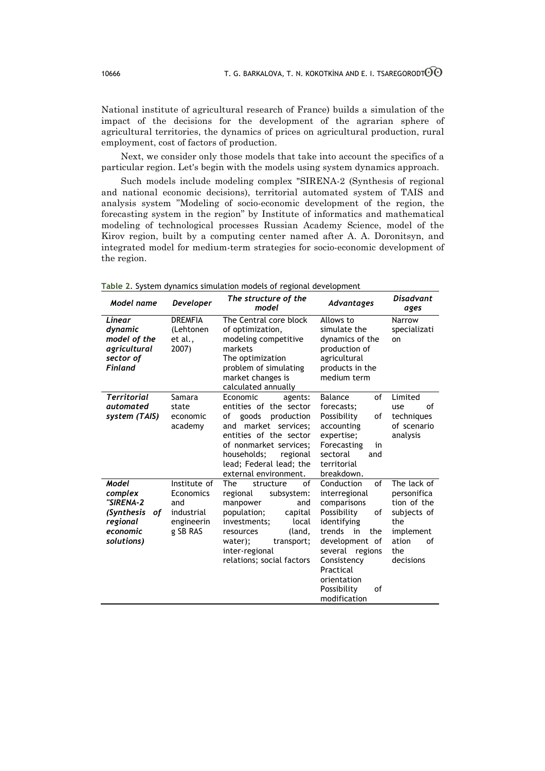National institute of agricultural research of France) builds a simulation of the impact of the decisions for the development of the agrarian sphere of agricultural territories, the dynamics of prices on agricultural production, rural employment, cost of factors of production.

Next, we consider only those models that take into account the specifics of a particular region. Let's begin with the models using system dynamics approach.

Such models include modeling complex "SIRENA-2 (Synthesis of regional and national economic decisions), territorial automated system of TAIS and analysis system "Modeling of socio-economic development of the region, the forecasting system in the region" by Institute of informatics and mathematical modeling of technological processes Russian Academy Science, model of the Kirov region, built by a computing center named after A. A. Doronitsyn, and integrated model for medium-term strategies for socio-economic development of the region.

| Model name                                                                              | <b>Developer</b>                                                         | The structure of the<br>model                                                                                                                                                                                                         | Advantages                                                                                                                                                                                                                          | <b>Disadvant</b><br>ages                                                                                        |
|-----------------------------------------------------------------------------------------|--------------------------------------------------------------------------|---------------------------------------------------------------------------------------------------------------------------------------------------------------------------------------------------------------------------------------|-------------------------------------------------------------------------------------------------------------------------------------------------------------------------------------------------------------------------------------|-----------------------------------------------------------------------------------------------------------------|
| Linear<br>dynamic<br>model of the<br>agricultural<br>sector of<br><b>Finland</b>        | <b>DREMFIA</b><br>(Lehtonen<br>et al.,<br>2007)                          | The Central core block<br>of optimization,<br>modeling competitive<br>markets<br>The optimization<br>problem of simulating<br>market changes is<br>calculated annually                                                                | Allows to<br>simulate the<br>dynamics of the<br>production of<br>agricultural<br>products in the<br>medium term                                                                                                                     | Narrow<br>specializati<br>on                                                                                    |
| <b>Territorial</b><br>automated<br>system (TAIS)                                        | Samara<br>state<br>economic<br>academy                                   | Economic<br>agents:<br>entities of the sector<br>of<br>goods<br>production<br>and market services;<br>entities of the sector<br>of nonmarket services;<br>households;<br>regional<br>lead; Federal lead; the<br>external environment. | of<br>Balance<br>forecasts;<br>Possibility<br>of<br>accounting<br>expertise;<br>Forecasting<br>in<br>sectoral<br>and<br>territorial<br>breakdown.                                                                                   | Limited<br>of<br>use<br>techniques<br>of scenario<br>analysis                                                   |
| Model<br>complex<br>"SIRENA-2<br>(Synthesis<br>οf<br>regional<br>economic<br>solutions) | Institute of<br>Economics<br>and<br>industrial<br>engineerin<br>g SB RAS | The<br>structure<br>οf<br>regional<br>subsystem:<br>manpower<br>and<br>population;<br>capital<br>investments;<br>local<br>resources<br>(land,<br>water);<br>transport;<br>inter-regional<br>relations; social factors                 | of<br>Conduction<br>interregional<br>comparisons<br>Possibility<br>οf<br>identifying<br>trends<br>the<br>in<br>development of<br>several<br>regions<br>Consistency<br>Practical<br>orientation<br>Possibility<br>οf<br>modification | The lack of<br>personifica<br>tion of the<br>subjects of<br>the<br>implement<br>ation<br>of<br>the<br>decisions |

**Table 2**. System dynamics simulation models of regional development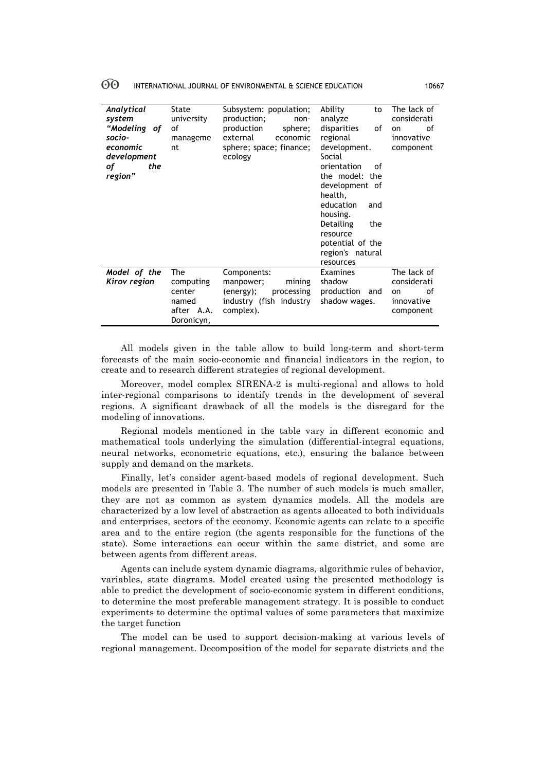| ပပ | INTERNATIONAL JOURNAL OF ENVIRONMENTAL & SCIENCE EDUCATION | 10667 |
|----|------------------------------------------------------------|-------|
|----|------------------------------------------------------------|-------|

| Analytical<br>system<br>"Modeling of<br>socio-<br>economic<br>development<br>оf<br>the<br>region" | State<br>university<br>οf<br>manageme<br>nt                     | Subsystem: population;<br>production;<br>non-<br>production<br>sphere;<br>external<br>economic<br>sphere; space; finance;<br>ecology | Ability<br>to<br>analyze<br>disparities<br>of<br>regional<br>development.<br>Social<br>orientation<br>Ωf<br>the model: the<br>development of<br>health,<br>education<br>and<br>housing.<br>Detailing<br>the<br>resource<br>potential of the<br>region's natural<br>resources | The lack of<br>considerati<br>οf<br>on<br>innovative<br>component |
|---------------------------------------------------------------------------------------------------|-----------------------------------------------------------------|--------------------------------------------------------------------------------------------------------------------------------------|------------------------------------------------------------------------------------------------------------------------------------------------------------------------------------------------------------------------------------------------------------------------------|-------------------------------------------------------------------|
| Model of the<br>Kirov region                                                                      | The<br>computing<br>center<br>named<br>after A.A.<br>Doronicyn, | Components:<br>mining<br>manpower;<br>processing<br>(energy);<br>industry (fish industry<br>complex).                                | Examines<br>shadow<br>production<br>and<br>shadow wages.                                                                                                                                                                                                                     | The lack of<br>considerati<br>οf<br>on<br>innovative<br>component |

All models given in the table allow to build long-term and short-term forecasts of the main socio-economic and financial indicators in the region, to create and to research different strategies of regional development.

Moreover, model complex SIRENA-2 is multi-regional and allows to hold inter-regional comparisons to identify trends in the development of several regions. A significant drawback of all the models is the disregard for the modeling of innovations.

Regional models mentioned in the table vary in different economic and mathematical tools underlying the simulation (differential-integral equations, neural networks, econometric equations, etc.), ensuring the balance between supply and demand on the markets.

Finally, let's consider agent-based models of regional development. Such models are presented in Table 3. The number of such models is much smaller, they are not as common as system dynamics models. All the models are characterized by a low level of abstraction as agents allocated to both individuals and enterprises, sectors of the economy. Economic agents can relate to a specific area and to the entire region (the agents responsible for the functions of the state). Some interactions can occur within the same district, and some are between agents from different areas.

Agents can include system dynamic diagrams, algorithmic rules of behavior, variables, state diagrams. Model created using the presented methodology is able to predict the development of socio-economic system in different conditions, to determine the most preferable management strategy. It is possible to conduct experiments to determine the optimal values of some parameters that maximize the target function

The model can be used to support decision-making at various levels of regional management. Decomposition of the model for separate districts and the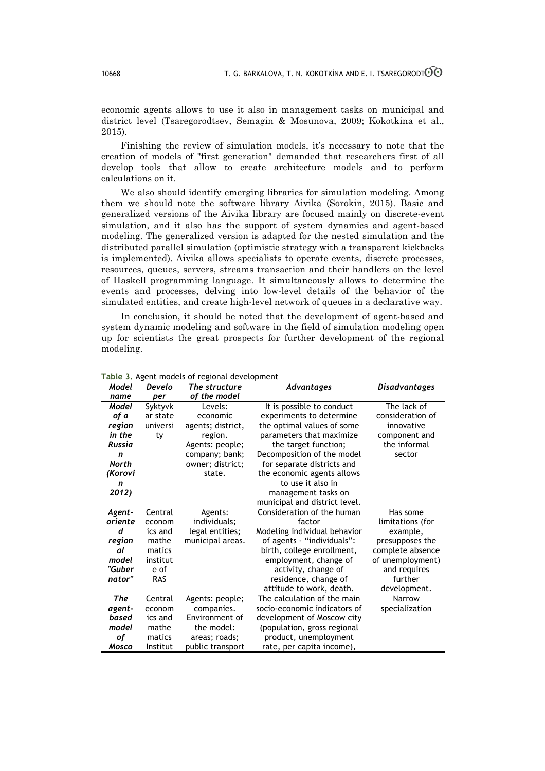economic agents allows to use it also in management tasks on municipal and district level (Tsaregorodtsev, Semagin & Mosunova, 2009; Kokotkina et al., 2015).

Finishing the review of simulation models, it's necessary to note that the creation of models of "first generation" demanded that researchers first of all develop tools that allow to create architecture models and to perform calculations on it.

We also should identify emerging libraries for simulation modeling. Among them we should note the software library Aivika (Sorokin, 2015). Basic and generalized versions of the Aivika library are focused mainly on discrete-event simulation, and it also has the support of system dynamics and agent-based modeling. The generalized version is adapted for the nested simulation and the distributed parallel simulation (optimistic strategy with a transparent kickbacks is implemented). Aivika allows specialists to operate events, discrete processes, resources, queues, servers, streams transaction and their handlers on the level of Haskell programming language. It simultaneously allows to determine the events and processes, delving into low-level details of the behavior of the simulated entities, and create high-level network of queues in a declarative way.

In conclusion, it should be noted that the development of agent-based and system dynamic modeling and software in the field of simulation modeling open up for scientists the great prospects for further development of the regional modeling.

| Model   | Develo   | The structure     | Advantages                    | <b>Disadvantages</b> |
|---------|----------|-------------------|-------------------------------|----------------------|
| name    | per      | of the model      |                               |                      |
| Model   | Syktyvk  | Levels:           | It is possible to conduct     | The lack of          |
| of a    | ar state | economic          | experiments to determine      | consideration of     |
| region  | universi | agents; district, | the optimal values of some    | innovative           |
| in the  | ty       | region.           | parameters that maximize      | component and        |
| Russia  |          | Agents: people;   | the target function;          | the informal         |
| n       |          | company; bank;    | Decomposition of the model    | sector               |
| North   |          | owner; district;  | for separate districts and    |                      |
| (Korovi |          | state.            | the economic agents allows    |                      |
| n       |          |                   | to use it also in             |                      |
| 2012)   |          |                   | management tasks on           |                      |
|         |          |                   | municipal and district level. |                      |
| Agent-  | Central  | Agents:           | Consideration of the human    | Has some             |
| oriente | econom   | individuals;      | factor                        | limitations (for     |
| d       | ics and  | legal entities;   | Modeling individual behavior  | example,             |
| region  | mathe    | municipal areas.  | of agents - "individuals":    | presupposes the      |
| al      | matics   |                   | birth, college enrollment,    | complete absence     |
| model   | institut |                   | employment, change of         | of unemployment)     |
| "Guber  | e of     |                   | activity, change of           | and requires         |
| nator"  | RAS      |                   | residence, change of          | further              |
|         |          |                   | attitude to work, death.      | development.         |
| The     | Central  | Agents: people;   | The calculation of the main   | Narrow               |
| agent-  | econom   | companies.        | socio-economic indicators of  | specialization       |
| based   | ics and  | Environment of    | development of Moscow city    |                      |
| model   | mathe    | the model:        | (population, gross regional   |                      |
| оf      | matics   | areas; roads;     | product, unemployment         |                      |
| Mosco   | Institut | public transport  | rate, per capita income),     |                      |

**Table 3.** Agent models of regional development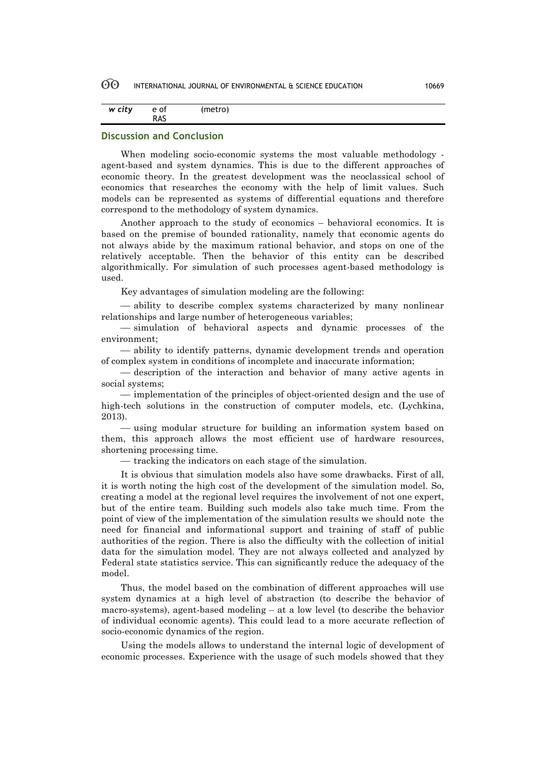#### 60 INTERNATIONAL JOURNAL OF ENVIRONMENTAL & SCIENCE EDUCATION 10669

| w city | e of | (metro) |
|--------|------|---------|
|        | RAS  |         |

# **Discussion and Conclusion**

When modeling socio-economic systems the most valuable methodology agent-based and system dynamics. This is due to the different approaches of economic theory. In the greatest development was the neoclassical school of economics that researches the economy with the help of limit values. Such models can be represented as systems of differential equations and therefore correspond to the methodology of system dynamics.

Another approach to the study of economics – behavioral economics. It is based on the premise of bounded rationality, namely that economic agents do not always abide by the maximum rational behavior, and stops on one of the relatively acceptable. Then the behavior of this entity can be described algorithmically. For simulation of such processes agent-based methodology is used.

Key advantages of simulation modeling are the following:

¾ ability to describe complex systems characterized by many nonlinear relationships and large number of heterogeneous variables;

 $-$  simulation of behavioral aspects and dynamic processes of the environment;

¾ ability to identify patterns, dynamic development trends and operation of complex system in conditions of incomplete and inaccurate information;

— description of the interaction and behavior of many active agents in social systems;

¾ implementation of the principles of object-oriented design and the use of high-tech solutions in the construction of computer models, etc. (Lychkina, 2013).

¾ using modular structure for building an information system based on them, this approach allows the most efficient use of hardware resources, shortening processing time.

– tracking the indicators on each stage of the simulation.

It is obvious that simulation models also have some drawbacks. First of all, it is worth noting the high cost of the development of the simulation model. So, creating a model at the regional level requires the involvement of not one expert, but of the entire team. Building such models also take much time. From the point of view of the implementation of the simulation results we should note the need for financial and informational support and training of staff of public authorities of the region. There is also the difficulty with the collection of initial data for the simulation model. They are not always collected and analyzed by Federal state statistics service. This can significantly reduce the adequacy of the model.

Thus, the model based on the combination of different approaches will use system dynamics at a high level of abstraction (to describe the behavior of macro-systems), agent-based modeling – at a low level (to describe the behavior of individual economic agents). This could lead to a more accurate reflection of socio-economic dynamics of the region.

Using the models allows to understand the internal logic of development of economic processes. Experience with the usage of such models showed that they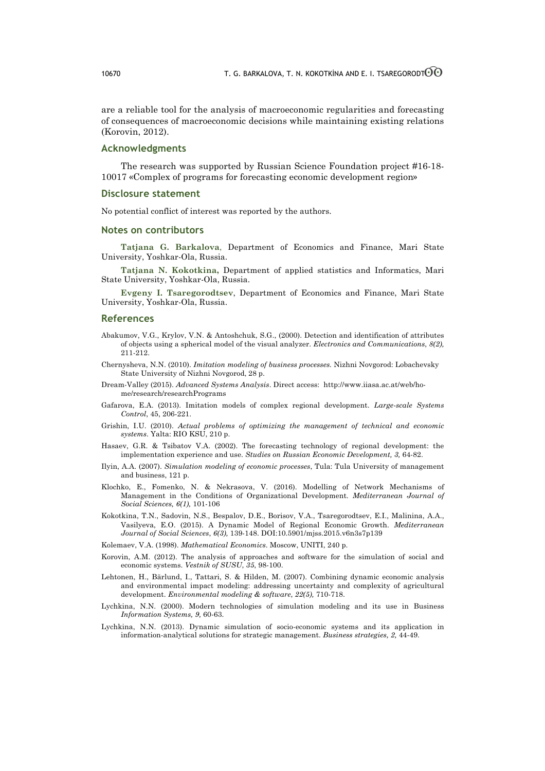are a reliable tool for the analysis of macroeconomic regularities and forecasting of consequences of macroeconomic decisions while maintaining existing relations (Korovin, 2012).

# **Acknowledgments**

The research was supported by Russian Science Foundation project #16-18- 10017 «Complex of programs for forecasting economic development region»

### **Disclosure statement**

No potential conflict of interest was reported by the authors.

### **Notes on contributors**

**Tatjana G. Barkalova**, Department of Economics and Finance, Mari State University, Yoshkar-Ola, Russia.

**Tatjana N. Kokotkina,** Department of applied statistics and Informatics, Mari State University, Yoshkar-Ola, Russia.

**Evgeny I. Tsaregorodtsev**, Department of Economics and Finance, Mari State University, Yoshkar-Ola, Russia.

### **References**

- Abakumov, V.G., Krylov, V.N. & Antoshchuk, S.G., (2000). Detection and identification of attributes of objects using a spherical model of the visual analyzer. *Electronics and Communications*, *8(2),*  211-212.
- Chernysheva, N.N. (2010). *Imitation modeling of business processes.* Nizhni Novgorod: Lobachevsky State University of Nizhni Novgorod, 28 p.
- Dream-Valley (2015). *Advanced Systems Analysis*. Direct access: http://www.iiasa.ac.at/web/home/research/researchPrograms
- Gafarova, E.A. (2013). Imitation models of complex regional development. *Large-scale Systems Control*, 45, 206-221.
- Grishin, I.U. (2010). *Actual problems of optimizing the management of technical and economic systems*. Yalta: RIO KSU, 210 p.
- Hasaev, G.R. & Tsibatov V.A. (2002). The forecasting technology of regional development: the implementation experience and use. *Studies on Russian Economic Development, 3,* 64-82.
- Ilyin, A.A. (2007). *Simulation modeling of economic processes*, Tula: Tula University of management and business, 121 p.
- Klochko, E., Fomenko, N. & Nekrasova, V. (2016). Modelling of Network Mechanisms of Management in the Conditions of Organizational Development. *Mediterranean Journal of Social Sciences, 6(1),* 101-106
- Kokotkina, T.N., Sadovin, N.S., Bespalov, D.E., Borisov, V.A., Tsaregorodtsev, E.I., Malinina, A.A., Vasilyeva, E.O. (2015). A Dynamic Model of Regional Economic Growth. *Mediterranean Journal of Social Sciences*, *6(3),* 139-148. DOI:10.5901/mjss.2015.v6n3s7p139
- Kolemaev, V.A. (1998). *Mathematical Economics*. Moscow, UNITI, 240 p.
- Korovin, A.M. (2012). The analysis of approaches and software for the simulation of social and economic systems. *Vestnik of SUSU*, *35*, 98-100.
- Lehtonen, H., Bärlund, I., Tattari, S. & Hilden, M. (2007). Combining dynamic economic analysis and environmental impact modeling: addressing uncertainty and complexity of agricultural development. *Environmental modeling & software*, *22(5),* 710-718.
- Lychkina, N.N. (2000). Modern technologies of simulation modeling and its use in Business *Information Systems, 9,* 60-63.
- Lychkina, N.N. (2013). Dynamic simulation of socio-economic systems and its application in information-analytical solutions for strategic management. *Business strategies, 2,* 44-49.